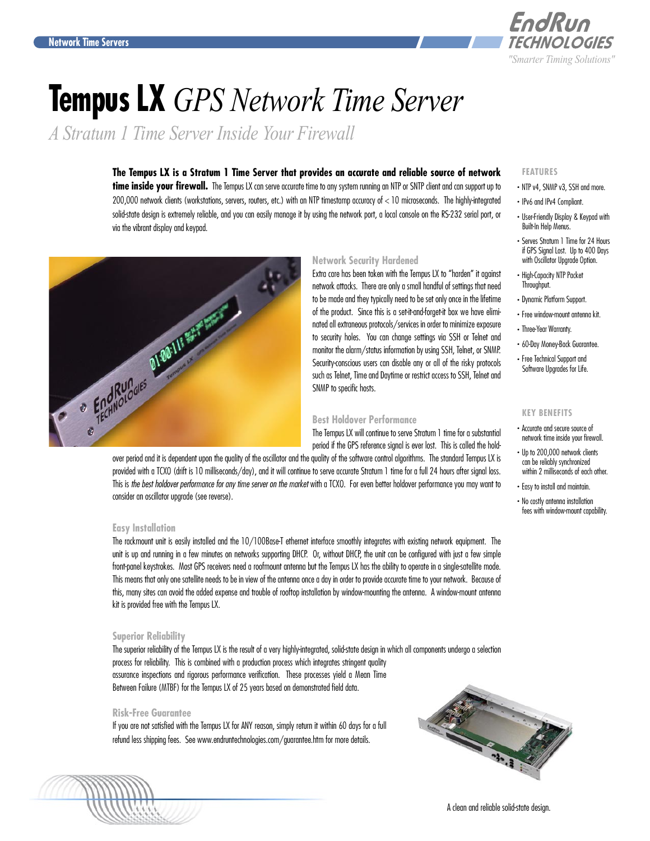

# **Tempus LX** *GPS Network Time Server*

*A Stratum 1 Time Server Inside Your Firewall*

# **The Tempus LX is a Stratum 1 Time Server that provides an accurate and reliable source of network**

time inside your firewall. The Tempus LX can serve accurate time to any system running an NTP or SNTP client and can support up to 200,000 network clients (workstations, servers, routers, etc.) with an NTP timestamp accuracy of < 10 microseconds. The highly-integrated solid-state design is extremely reliable, and you can easily manage it by using the network port, a local console on the RS-232 serial port, or via the vibrant display and keypad.



# **Network Security Hardened**

Extra care has been taken with the Tempus LX to "harden" it against network attacks. There are only a small handful of settings that need to be made and they typically need to be set only once in the lifetime of the product. Since this is a set-it-and-forget-it box we have eliminated all extraneous protocols/services in order to minimize exposure to security holes. You can change settings via SSH or Telnet and monitor the alarm/status information by using SSH, Telnet, or SNMP. Security-conscious users can disable any or all of the risky protocols such as Telnet, Time and Daytime or restrict access to SSH, Telnet and SNMP to specific hosts.

# **Best Holdover Performance**

The Tempus LX will continue to serve Stratum 1 time for a substantial period if the GPS reference signal is ever lost. This is called the hold-

provided with a TCXO (drift is 10 milliseconds/day), and it will continue to serve accurate Stratum 1 time for a full 24 hours after signal loss. This is *the best holdover performance for any time server on the market* with a TCXO. For even better holdover performance you may want to consider an oscillator upgrade (see reverse).

# **Easy Installation**

The rackmount unit is easily installed and the 10/100Base-T ethernet interface smoothly integrates with existing network equipment. The unit is up and running in a few minutes on networks supporting DHCP. Or, without DHCP, the unit can be configured with just a few simple front-panel keystrokes. Most GPS receivers need a roofmount antenna but the Tempus LX has the ability to operate in a single-satellite mode. This means that only one satellite needs to be in view of the antenna once a day in order to provide accurate time to your network. Because of this, many sites can avoid the added expense and trouble of rooftop installation by window-mounting the antenna. A window-mount antenna kit is provided free with the Tempus LX.

# **Superior Reliability**

The superior reliability of the Tempus LX is the result of a very highly-integrated, solid-state design in which all components undergo a selection process for reliability. This is combined with a production process which integrates stringent quality assurance inspections and rigorous performance verification. These processes yield a Mean Time Between Failure (MTBF) for the Tempus LX of 25 years based on demonstrated field data.

# **Risk-Free Guarantee**

If you are not satisfied with the Tempus LX for ANY reason, simply return it within 60 days for a full refund less shipping fees. See <www.endruntechnologies.com/guarantee.htm>for more details.



# **FEATURES**

- . NTP v4, SNMP v3, SSH and more.
- . IPv6 and IPv4 Compliant.
- . User-Friendly Display & Keypad with Built-In Help Menus.
- . Serves Stratum 1 Time for 24 Hours if GPS Signal Lost. Up to 400 Days with Oscillator Upgrade Option.
- . High-Capacity NTP Packet Throughput.
- . Dynamic Platform Support.
- . Free window-mount antenna kit.
- . Three-Year Warranty.
- . 60-Day Money-Back Guarantee.
- . Free Technical Support and Software Upgrades for Life.

### **KEY BENEFITS**

- . Accurate and secure source of network time inside your firewall.
- . Up to 200,000 network clients can be reliably synchronized within 2 milliseconds of each other.
- . Easy to install and maintain.
- . No costly antenna installation fees with window-mount capability.